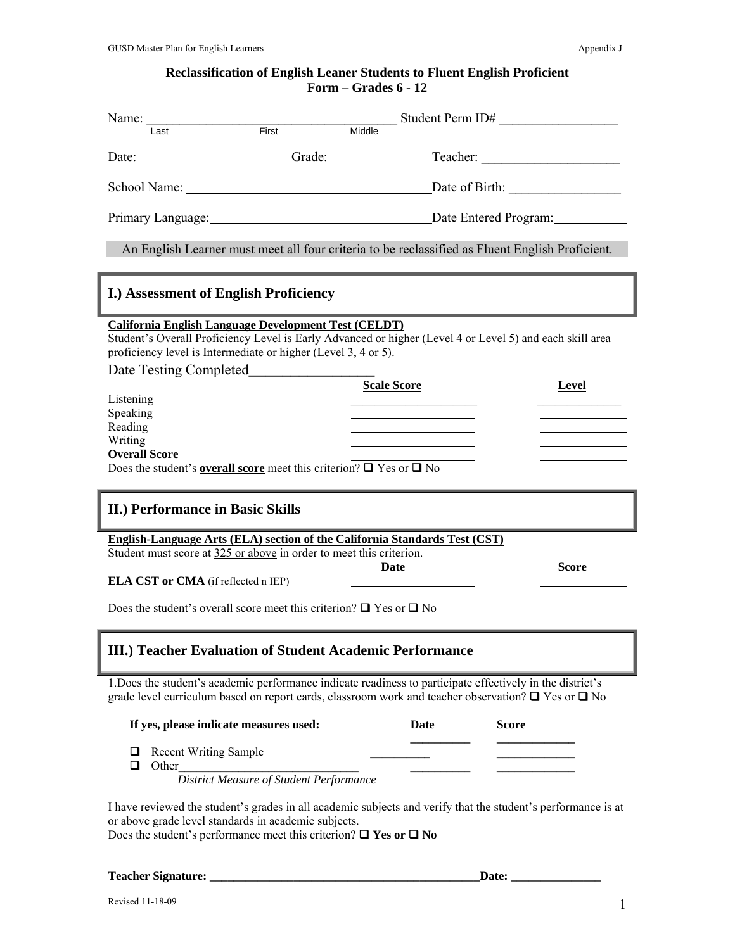| <b>Reclassification of English Leaner Students to Fluent English Proficient</b> |  |  |  |
|---------------------------------------------------------------------------------|--|--|--|
| Form $-$ Grades 6 - 12                                                          |  |  |  |

| Name:<br>First<br>l ast                                                                                                                                                                                                                                             | Middle Student Perm ID#                                                                                                                                                                                                       |  |  |  |
|---------------------------------------------------------------------------------------------------------------------------------------------------------------------------------------------------------------------------------------------------------------------|-------------------------------------------------------------------------------------------------------------------------------------------------------------------------------------------------------------------------------|--|--|--|
|                                                                                                                                                                                                                                                                     | Date: Campaign Cracker: Campaign Cracker: Campaign Cracker: Campaign Cracker: Campaign Cracker: Campaign Cracker: Campaign Cracker: Campaign Cracker: Campaign Cracker: Campaign Cracker: Campaign Cracker: Campaign Cracker: |  |  |  |
|                                                                                                                                                                                                                                                                     |                                                                                                                                                                                                                               |  |  |  |
| Primary Language: Date Entered Program: Date Entered Program:                                                                                                                                                                                                       |                                                                                                                                                                                                                               |  |  |  |
| An English Learner must meet all four criteria to be reclassified as Fluent English Proficient.                                                                                                                                                                     |                                                                                                                                                                                                                               |  |  |  |
| I.) Assessment of English Proficiency                                                                                                                                                                                                                               |                                                                                                                                                                                                                               |  |  |  |
| <b>California English Language Development Test (CELDT)</b><br>Student's Overall Proficiency Level is Early Advanced or higher (Level 4 or Level 5) and each skill area<br>proficiency level is Intermediate or higher (Level 3, 4 or 5).<br>Date Testing Completed |                                                                                                                                                                                                                               |  |  |  |
| Listening<br>Speaking<br>Reading<br>Writing<br><b>Overall Score</b><br>Does the student's <b>overall score</b> meet this criterion? $\Box$ Yes or $\Box$ No                                                                                                         | <b>Scale Score</b><br><b>Level</b>                                                                                                                                                                                            |  |  |  |
| II.) Performance in Basic Skills                                                                                                                                                                                                                                    |                                                                                                                                                                                                                               |  |  |  |
| <b>English-Language Arts (ELA) section of the California Standards Test (CST)</b><br>Student must score at 325 or above in order to meet this criterion.<br><b>ELA CST or CMA</b> (if reflected n IEP)                                                              | <b>Date</b><br><b>Score</b>                                                                                                                                                                                                   |  |  |  |
| Does the student's overall score meet this criterion? $\Box$ Yes or $\Box$ No                                                                                                                                                                                       |                                                                                                                                                                                                                               |  |  |  |
| III.) Teacher Evaluation of Student Academic Performance                                                                                                                                                                                                            |                                                                                                                                                                                                                               |  |  |  |
| 1. Does the student's academic performance indicate readiness to participate effectively in the district's<br>grade level curriculum based on report cards, classroom work and teacher observation? $\Box$ Yes or $\Box$ No                                         |                                                                                                                                                                                                                               |  |  |  |
| If yes, please indicate measures used:                                                                                                                                                                                                                              | <b>Score</b><br>Date                                                                                                                                                                                                          |  |  |  |
| <b>Recent Writing Sample</b><br>⊔<br>◻<br>Other                                                                                                                                                                                                                     |                                                                                                                                                                                                                               |  |  |  |
| District Measure of Student Performance                                                                                                                                                                                                                             |                                                                                                                                                                                                                               |  |  |  |
| I have reviewed the student's grades in all academic subjects and verify that the student's performance is at<br>or above grade level standards in academic subjects.<br>Does the student's performance meet this criterion? $\Box$ Yes or $\Box$ No                |                                                                                                                                                                                                                               |  |  |  |

Does the student's performance meet this criterion?  $\Box$  Yes or  $\Box$  No

## **Teacher Signature: \_\_\_\_\_\_\_\_\_\_\_\_\_\_\_\_\_\_\_\_\_\_\_\_\_\_\_\_\_\_\_\_\_\_\_\_\_\_\_\_\_\_\_\_\_Date: \_\_\_\_\_\_\_\_\_\_\_\_\_\_\_**